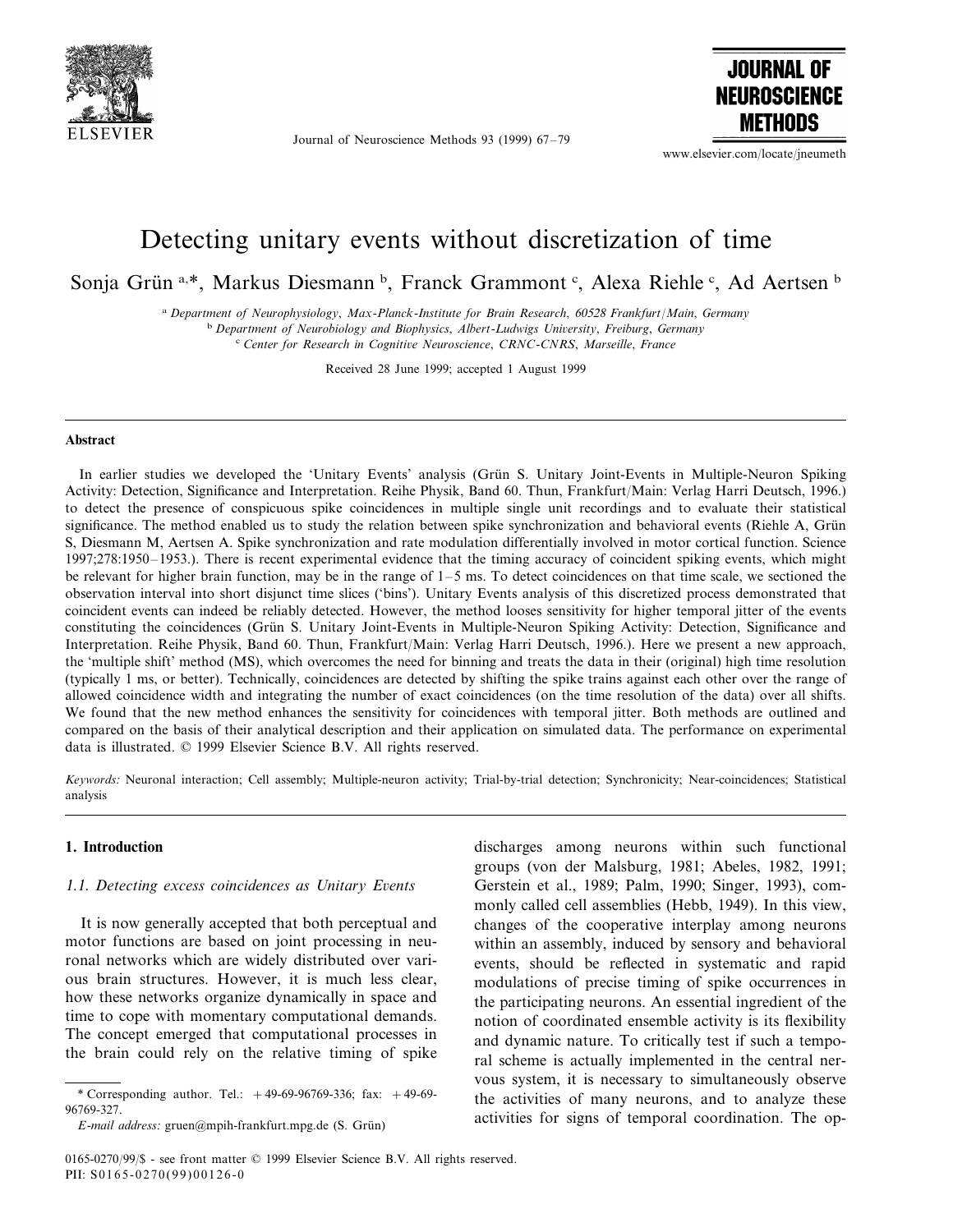

Journal of Neuroscience Methods 93 (1999) 67–79



www.elsevier.com/locate/jneumeth

# Detecting unitary events without discretization of time

Sonja Grün <sup>a,\*</sup>, Markus Diesmann <sup>b</sup>, Franck Grammont <sup>c</sup>, Alexa Riehle <sup>c</sup>, Ad Aertsen <sup>b</sup>

<sup>a</sup> *Department of Neurophysiology*, *Max*-*Planck*-*Institute for Brain Research*, <sup>60528</sup> *Frankfurt*/*Main*, *Germany*  $<sup>b</sup>$  *Department of Neurobiology and Biophysics, Albert-Ludwigs University, Freiburg, Germany*</sup> <sup>c</sup> Center for Research in Cognitive Neuroscience, CRNC-CNRS, Marseille, France

Received 28 June 1999; accepted 1 August 1999

#### **Abstract**

In earlier studies we developed the 'Unitary Events' analysis (Grün S. Unitary Joint-Events in Multiple-Neuron Spiking Activity: Detection, Significance and Interpretation. Reihe Physik, Band 60. Thun, Frankfurt/Main: Verlag Harri Deutsch, 1996.) to detect the presence of conspicuous spike coincidences in multiple single unit recordings and to evaluate their statistical significance. The method enabled us to study the relation between spike synchronization and behavioral events (Riehle A, Grün S, Diesmann M, Aertsen A. Spike synchronization and rate modulation differentially involved in motor cortical function. Science 1997;278:1950–1953.). There is recent experimental evidence that the timing accuracy of coincident spiking events, which might be relevant for higher brain function, may be in the range of 1–5 ms. To detect coincidences on that time scale, we sectioned the observation interval into short disjunct time slices ('bins'). Unitary Events analysis of this discretized process demonstrated that coincident events can indeed be reliably detected. However, the method looses sensitivity for higher temporal jitter of the events constituting the coincidences (Grün S. Unitary Joint-Events in Multiple-Neuron Spiking Activity: Detection, Significance and Interpretation. Reihe Physik, Band 60. Thun, Frankfurt/Main: Verlag Harri Deutsch, 1996.). Here we present a new approach, the 'multiple shift' method (MS), which overcomes the need for binning and treats the data in their (original) high time resolution (typically 1 ms, or better). Technically, coincidences are detected by shifting the spike trains against each other over the range of allowed coincidence width and integrating the number of exact coincidences (on the time resolution of the data) over all shifts. We found that the new method enhances the sensitivity for coincidences with temporal jitter. Both methods are outlined and compared on the basis of their analytical description and their application on simulated data. The performance on experimental data is illustrated. © 1999 Elsevier Science B.V. All rights reserved.

*Keywords*: Neuronal interaction; Cell assembly; Multiple-neuron activity; Trial-by-trial detection; Synchronicity; Near-coincidences; Statistical analysis

### **1. Introduction**

### 1.1. Detecting excess coincidences as Unitary Events

It is now generally accepted that both perceptual and motor functions are based on joint processing in neuronal networks which are widely distributed over various brain structures. However, it is much less clear, how these networks organize dynamically in space and time to cope with momentary computational demands. The concept emerged that computational processes in the brain could rely on the relative timing of spike

discharges among neurons within such functional groups (von der Malsburg, 1981; Abeles, 1982, 1991; Gerstein et al., 1989; Palm, 1990; Singer, 1993), commonly called cell assemblies (Hebb, 1949). In this view, changes of the cooperative interplay among neurons within an assembly, induced by sensory and behavioral events, should be reflected in systematic and rapid modulations of precise timing of spike occurrences in the participating neurons. An essential ingredient of the notion of coordinated ensemble activity is its flexibility and dynamic nature. To critically test if such a temporal scheme is actually implemented in the central nervous system, it is necessary to simultaneously observe the activities of many neurons, and to analyze these activities for signs of temporal coordination. The op-

<sup>\*</sup> Corresponding author. Tel.: +49-69-96769-336; fax: +49-69- 96769-327.

*E*-*mail address:* gruen@mpih-frankfurt.mpg.de (S. Grün)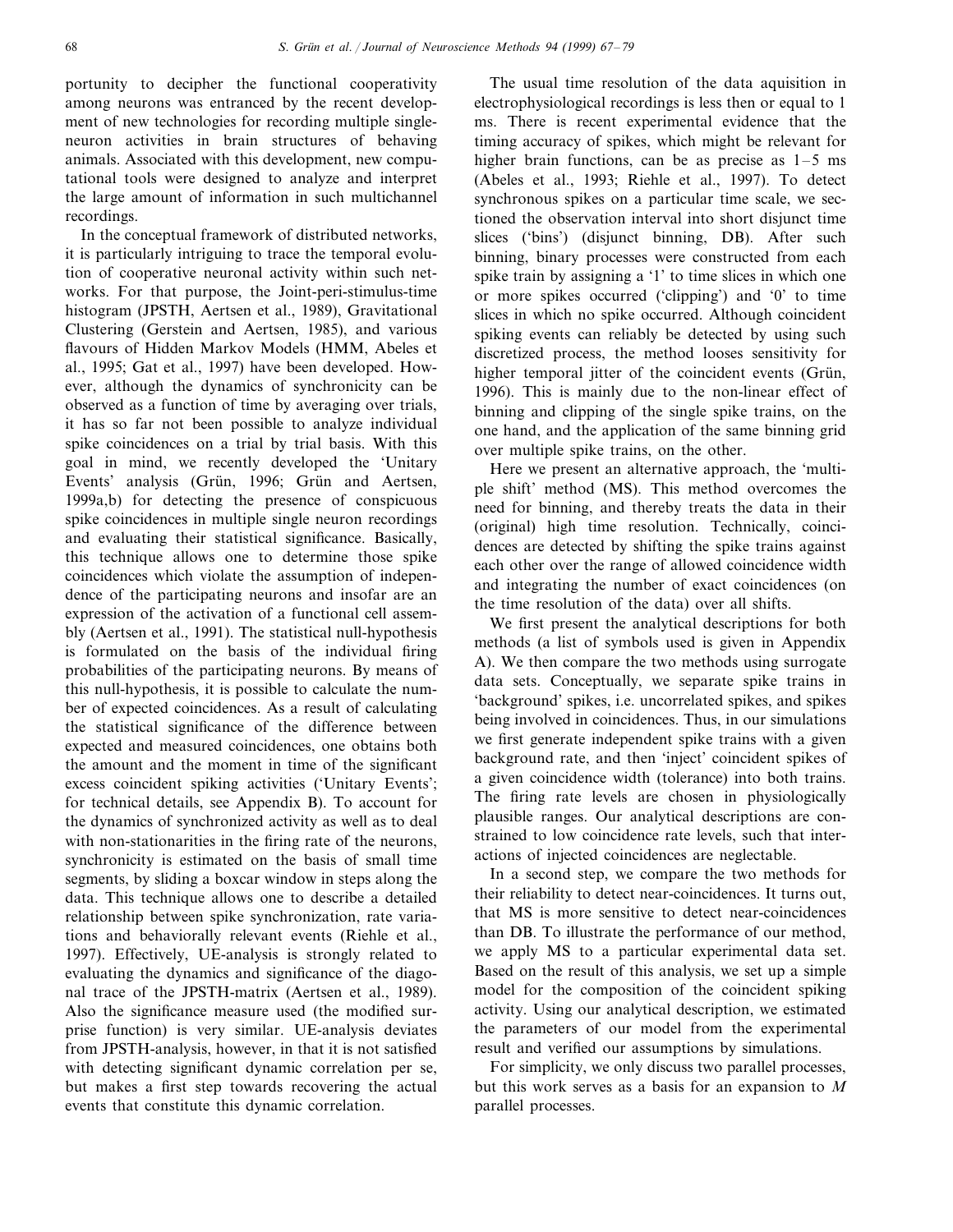portunity to decipher the functional cooperativity among neurons was entranced by the recent development of new technologies for recording multiple singleneuron activities in brain structures of behaving animals. Associated with this development, new computational tools were designed to analyze and interpret the large amount of information in such multichannel recordings.

In the conceptual framework of distributed networks, it is particularly intriguing to trace the temporal evolution of cooperative neuronal activity within such networks. For that purpose, the Joint-peri-stimulus-time histogram (JPSTH, Aertsen et al., 1989), Gravitational Clustering (Gerstein and Aertsen, 1985), and various flavours of Hidden Markov Models (HMM, Abeles et al., 1995; Gat et al., 1997) have been developed. However, although the dynamics of synchronicity can be observed as a function of time by averaging over trials, it has so far not been possible to analyze individual spike coincidences on a trial by trial basis. With this goal in mind, we recently developed the 'Unitary Events' analysis (Grün, 1996; Grün and Aertsen, 1999a,b) for detecting the presence of conspicuous spike coincidences in multiple single neuron recordings and evaluating their statistical significance. Basically, this technique allows one to determine those spike coincidences which violate the assumption of independence of the participating neurons and insofar are an expression of the activation of a functional cell assembly (Aertsen et al., 1991). The statistical null-hypothesis is formulated on the basis of the individual firing probabilities of the participating neurons. By means of this null-hypothesis, it is possible to calculate the number of expected coincidences. As a result of calculating the statistical significance of the difference between expected and measured coincidences, one obtains both the amount and the moment in time of the significant excess coincident spiking activities ('Unitary Events'; for technical details, see Appendix B). To account for the dynamics of synchronized activity as well as to deal with non-stationarities in the firing rate of the neurons, synchronicity is estimated on the basis of small time segments, by sliding a boxcar window in steps along the data. This technique allows one to describe a detailed relationship between spike synchronization, rate variations and behaviorally relevant events (Riehle et al., 1997). Effectively, UE-analysis is strongly related to evaluating the dynamics and significance of the diagonal trace of the JPSTH-matrix (Aertsen et al., 1989). Also the significance measure used (the modified surprise function) is very similar. UE-analysis deviates from JPSTH-analysis, however, in that it is not satisfied with detecting significant dynamic correlation per se, but makes a first step towards recovering the actual events that constitute this dynamic correlation.

The usual time resolution of the data aquisition in electrophysiological recordings is less then or equal to 1 ms. There is recent experimental evidence that the timing accuracy of spikes, which might be relevant for higher brain functions, can be as precise as  $1-5$  ms (Abeles et al., 1993; Riehle et al., 1997). To detect synchronous spikes on a particular time scale, we sectioned the observation interval into short disjunct time slices ('bins') (disjunct binning, DB). After such binning, binary processes were constructed from each spike train by assigning a '1' to time slices in which one or more spikes occurred ('clipping') and '0' to time slices in which no spike occurred. Although coincident spiking events can reliably be detected by using such discretized process, the method looses sensitivity for higher temporal jitter of the coincident events (Grün, 1996). This is mainly due to the non-linear effect of binning and clipping of the single spike trains, on the one hand, and the application of the same binning grid over multiple spike trains, on the other.

Here we present an alternative approach, the 'multiple shift' method (MS). This method overcomes the need for binning, and thereby treats the data in their (original) high time resolution. Technically, coincidences are detected by shifting the spike trains against each other over the range of allowed coincidence width and integrating the number of exact coincidences (on the time resolution of the data) over all shifts.

We first present the analytical descriptions for both methods (a list of symbols used is given in Appendix A). We then compare the two methods using surrogate data sets. Conceptually, we separate spike trains in 'background' spikes, i.e. uncorrelated spikes, and spikes being involved in coincidences. Thus, in our simulations we first generate independent spike trains with a given background rate, and then 'inject' coincident spikes of a given coincidence width (tolerance) into both trains. The firing rate levels are chosen in physiologically plausible ranges. Our analytical descriptions are constrained to low coincidence rate levels, such that interactions of injected coincidences are neglectable.

In a second step, we compare the two methods for their reliability to detect near-coincidences. It turns out, that MS is more sensitive to detect near-coincidences than DB. To illustrate the performance of our method, we apply MS to a particular experimental data set. Based on the result of this analysis, we set up a simple model for the composition of the coincident spiking activity. Using our analytical description, we estimated the parameters of our model from the experimental result and verified our assumptions by simulations.

For simplicity, we only discuss two parallel processes, but this work serves as a basis for an expansion to *M* parallel processes.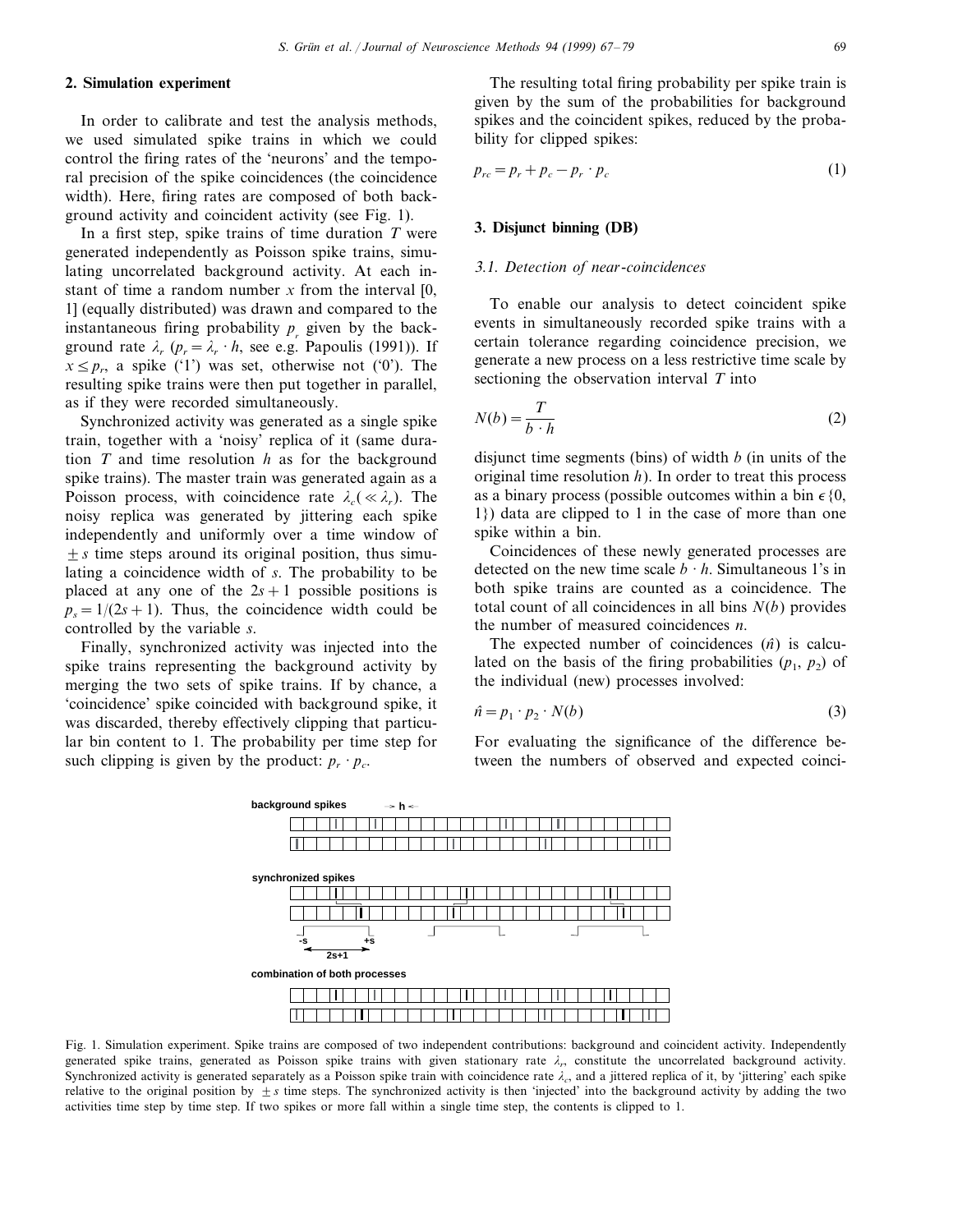#### **2. Simulation experiment**

In order to calibrate and test the analysis methods, we used simulated spike trains in which we could control the firing rates of the 'neurons' and the temporal precision of the spike coincidences (the coincidence width). Here, firing rates are composed of both background activity and coincident activity (see Fig. 1).

In a first step, spike trains of time duration *T* were generated independently as Poisson spike trains, simulating uncorrelated background activity. At each instant of time a random number *x* from the interval [0, 1] (equally distributed) was drawn and compared to the instantaneous firing probability  $p<sub>r</sub>$  given by the background rate  $\lambda_r$  ( $p_r = \lambda_r \cdot h$ , see e.g. Papoulis (1991)). If  $x \leq p_r$ , a spike ('1') was set, otherwise not ('0'). The resulting spike trains were then put together in parallel, as if they were recorded simultaneously.

Synchronized activity was generated as a single spike train, together with a 'noisy' replica of it (same duration *T* and time resolution *h* as for the background spike trains). The master train was generated again as a Poisson process, with coincidence rate  $\lambda_c (\ll \lambda_r)$ . The noisy replica was generated by jittering each spike independently and uniformly over a time window of  $\pm s$  time steps around its original position, thus simulating a coincidence width of *s*. The probability to be placed at any one of the  $2s+1$  possible positions is  $p_s = 1/(2s+1)$ . Thus, the coincidence width could be controlled by the variable *s*.

Finally, synchronized activity was injected into the spike trains representing the background activity by merging the two sets of spike trains. If by chance, a 'coincidence' spike coincided with background spike, it was discarded, thereby effectively clipping that particular bin content to 1. The probability per time step for such clipping is given by the product:  $p_r \cdot p_c$ .

The resulting total firing probability per spike train is given by the sum of the probabilities for background spikes and the coincident spikes, reduced by the probability for clipped spikes:

$$
p_{rc} = p_r + p_c - p_r \cdot p_c \tag{1}
$$

### **3. Disjunct binning (DB)**

#### 3.1. *Detection of near*-*coincidences*

To enable our analysis to detect coincident spike events in simultaneously recorded spike trains with a certain tolerance regarding coincidence precision, we generate a new process on a less restrictive time scale by sectioning the observation interval *T* into

$$
N(b) = \frac{T}{b \cdot h} \tag{2}
$$

disjunct time segments (bins) of width *b* (in units of the original time resolution *h*). In order to treat this process as a binary process (possible outcomes within a bin  $\epsilon$  {0}, 1}) data are clipped to 1 in the case of more than one spike within a bin.

Coincidences of these newly generated processes are detected on the new time scale  $b \cdot h$ . Simultaneous 1's in both spike trains are counted as a coincidence. The total count of all coincidences in all bins *N*(*b*) provides the number of measured coincidences *n*.

The expected number of coincidences  $(n)$  is calculated on the basis of the firing probabilities  $(p_1, p_2)$  of the individual (new) processes involved:

$$
\hat{n} = p_1 \cdot p_2 \cdot N(b) \tag{3}
$$

For evaluating the significance of the difference between the numbers of observed and expected coinci-

| background spikes<br>$\rightarrow h \leftarrow$ |  |  |  |
|-------------------------------------------------|--|--|--|
|                                                 |  |  |  |
|                                                 |  |  |  |
| synchronized spikes                             |  |  |  |
|                                                 |  |  |  |
|                                                 |  |  |  |
| -S<br>$+$ S<br>$2s+1$                           |  |  |  |
| combination of both processes                   |  |  |  |
|                                                 |  |  |  |
|                                                 |  |  |  |

Fig. 1. Simulation experiment. Spike trains are composed of two independent contributions: background and coincident activity. Independently generated spike trains, generated as Poisson spike trains with given stationary rate  $\lambda_r$ , constitute the uncorrelated background activity. Synchronized activity is generated separately as a Poisson spike train with coincidence rate  $\lambda_c$ , and a jittered replica of it, by 'jittering' each spike relative to the original position by  $\pm s$  time steps. The synchronized activity is then 'injected' into the background activity by adding the two activities time step by time step. If two spikes or more fall within a single time step, the contents is clipped to 1.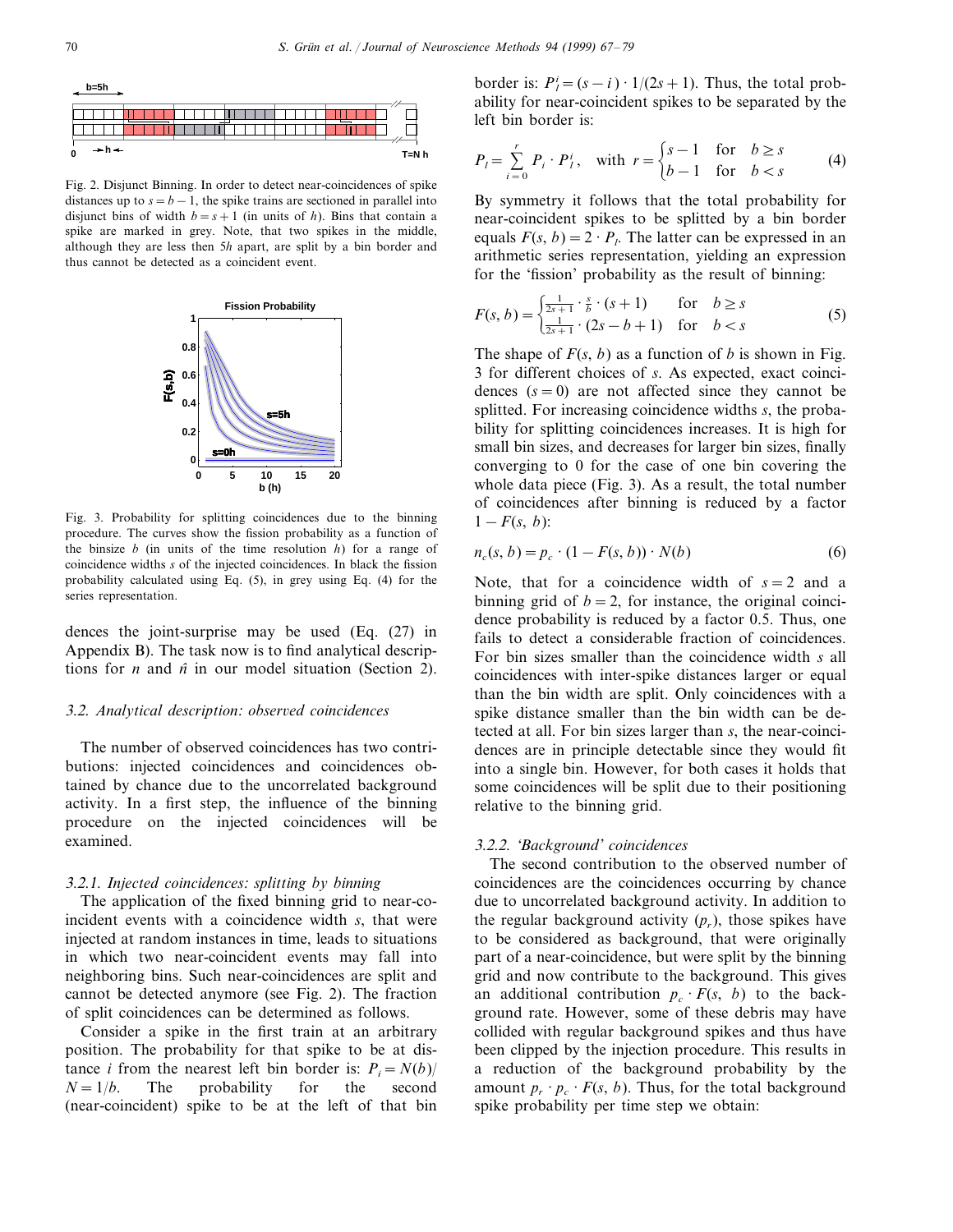

Fig. 2. Disjunct Binning. In order to detect near-coincidences of spike distances up to  $s = b - 1$ , the spike trains are sectioned in parallel into disjunct bins of width  $b = s + 1$  (in units of *h*). Bins that contain a spike are marked in grey. Note, that two spikes in the middle, although they are less then 5*h* apart, are split by a bin border and thus cannot be detected as a coincident event.



Fig. 3. Probability for splitting coincidences due to the binning procedure. The curves show the fission probability as a function of the binsize *b* (in units of the time resolution *h*) for a range of coincidence widths *s* of the injected coincidences. In black the fission probability calculated using Eq. (5), in grey using Eq. (4) for the series representation.

dences the joint-surprise may be used (Eq. (27) in Appendix B). The task now is to find analytical descriptions for *n* and  $\hat{n}$  in our model situation (Section 2).

#### 3.2. *Analytical description: observed coincidences*

The number of observed coincidences has two contributions: injected coincidences and coincidences obtained by chance due to the uncorrelated background activity. In a first step, the influence of the binning procedure on the injected coincidences will be examined.

#### 3.2.1. *Injected coincidences*: *splitting by binning*

The application of the fixed binning grid to near-coincident events with a coincidence width *s*, that were injected at random instances in time, leads to situations in which two near-coincident events may fall into neighboring bins. Such near-coincidences are split and cannot be detected anymore (see Fig. 2). The fraction of split coincidences can be determined as follows.

Consider a spike in the first train at an arbitrary position. The probability for that spike to be at distance *i* from the nearest left bin border is:  $P_i = N(b)$ /  $N=1/b$ . The probability for the second (near-coincident) spike to be at the left of that bin

border is:  $P_i^i = (s - i) \cdot 1/(2s + 1)$ . Thus, the total probability for near-coincident spikes to be separated by the left bin border is:

$$
P_l = \sum_{i=0}^{r} P_i \cdot P_l^i, \quad \text{with } r = \begin{cases} s-1 & \text{for} \quad b \ge s \\ b-1 & \text{for} \quad b < s \end{cases} \tag{4}
$$

By symmetry it follows that the total probability for near-coincident spikes to be splitted by a bin border equals  $F(s, b) = 2 \cdot P_l$ . The latter can be expressed in an arithmetic series representation, yielding an expression for the 'fission' probability as the result of binning:

$$
F(s, b) = \begin{cases} \frac{1}{2s+1} \cdot \frac{s}{b} \cdot (s+1) & \text{for } b \ge s\\ \frac{1}{2s+1} \cdot (2s-b+1) & \text{for } b < s \end{cases}
$$
(5)

The shape of  $F(s, b)$  as a function of *b* is shown in Fig. 3 for different choices of *s*. As expected, exact coincidences  $(s = 0)$  are not affected since they cannot be splitted. For increasing coincidence widths *s*, the probability for splitting coincidences increases. It is high for small bin sizes, and decreases for larger bin sizes, finally converging to 0 for the case of one bin covering the whole data piece (Fig. 3). As a result, the total number of coincidences after binning is reduced by a factor  $1-F(s, b)$ :

$$
n_c(s, b) = p_c \cdot (1 - F(s, b)) \cdot N(b)
$$
 (6)

Note, that for a coincidence width of  $s = 2$  and a binning grid of  $b = 2$ , for instance, the original coincidence probability is reduced by a factor 0.5. Thus, one fails to detect a considerable fraction of coincidences. For bin sizes smaller than the coincidence width *s* all coincidences with inter-spike distances larger or equal than the bin width are split. Only coincidences with a spike distance smaller than the bin width can be detected at all. For bin sizes larger than *s*, the near-coincidences are in principle detectable since they would fit into a single bin. However, for both cases it holds that some coincidences will be split due to their positioning relative to the binning grid.

### 3.2.2. '*Background*' *coincidences*

The second contribution to the observed number of coincidences are the coincidences occurring by chance due to uncorrelated background activity. In addition to the regular background activity  $(p_r)$ , those spikes have to be considered as background, that were originally part of a near-coincidence, but were split by the binning grid and now contribute to the background. This gives an additional contribution  $p_c \cdot F(s, b)$  to the background rate. However, some of these debris may have collided with regular background spikes and thus have been clipped by the injection procedure. This results in a reduction of the background probability by the amount  $p_r \cdot p_c \cdot F(s, b)$ . Thus, for the total background spike probability per time step we obtain: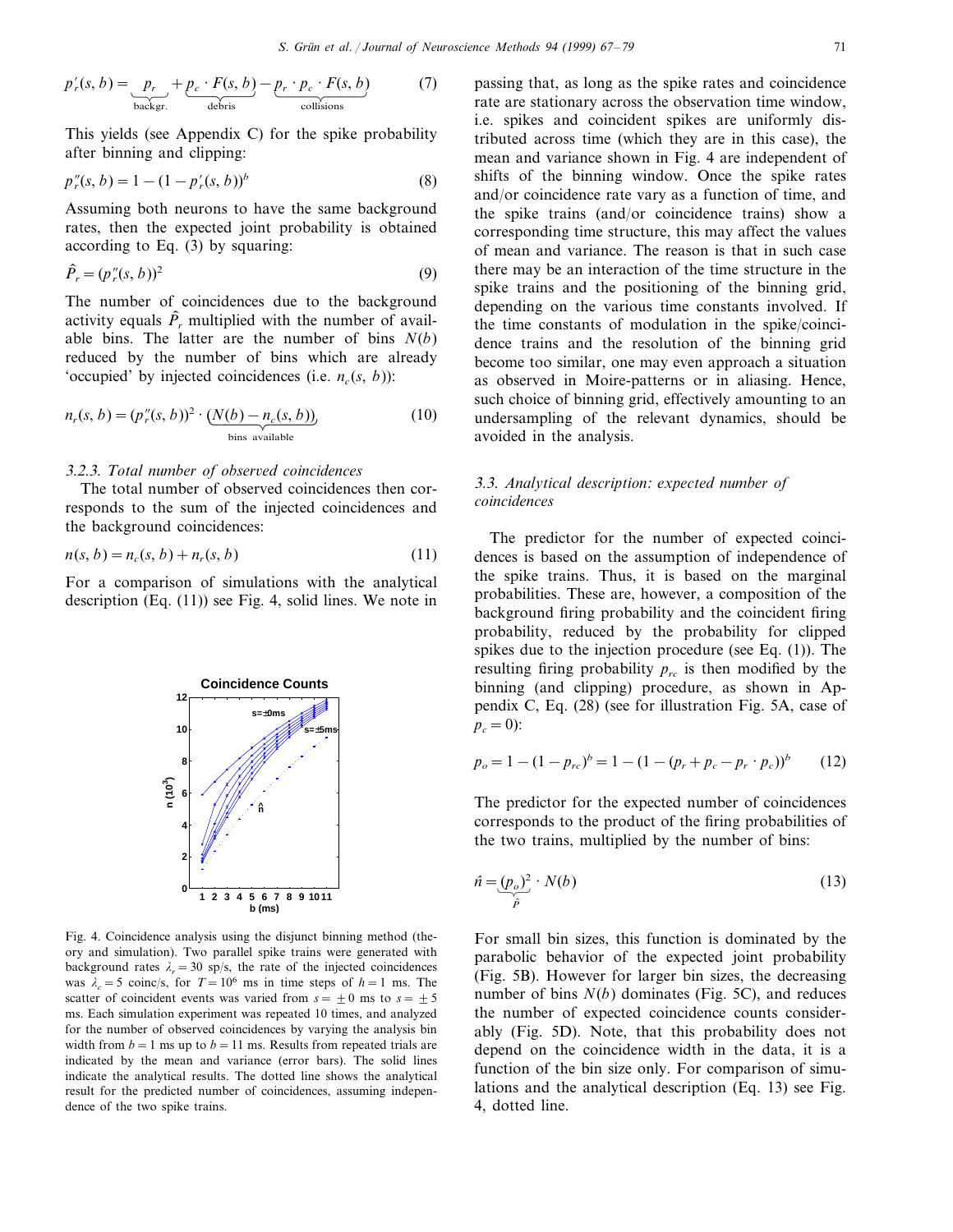$$
p'_r(s, b) = \underbrace{p_r}_{\text{background}} + \underbrace{p_c \cdot F(s, b)}_{\text{debris}} - \underbrace{p_r \cdot p_c \cdot F(s, b)}_{\text{collisions}} \tag{7}
$$

This yields (see Appendix C) for the spike probability after binning and clipping:

$$
p_r''(s, b) = 1 - (1 - p_r'(s, b))^b
$$
\n(8)

Assuming both neurons to have the same background rates, then the expected joint probability is obtained according to Eq. (3) by squaring:

$$
\widehat{P}_r = (p''_r(s, b))^2 \tag{9}
$$

The number of coincidences due to the background activity equals  $\hat{P}_r$  multiplied with the number of available bins. The latter are the number of bins *N*(*b*) reduced by the number of bins which are already 'occupied' by injected coincidences (i.e.  $n_c(s, b)$ ):

$$
n_r(s, b) = (p''_r(s, b))^2 \cdot \underbrace{(N(b) - n_c(s, b))}_{\text{bins available}} \tag{10}
$$

#### 3.2.3. Total number of observed coincidences

The total number of observed coincidences then corresponds to the sum of the injected coincidences and the background coincidences:

$$
n(s, b) = n_c(s, b) + n_r(s, b)
$$
\n(11)

For a comparison of simulations with the analytical description (Eq. (11)) see Fig. 4, solid lines. We note in



Fig. 4. Coincidence analysis using the disjunct binning method (theory and simulation). Two parallel spike trains were generated with background rates  $\lambda_r = 30$  sp/s, the rate of the injected coincidences was  $\lambda_c = 5$  coinc/s, for  $T = 10^6$  ms in time steps of  $h = 1$  ms. The scatter of coincident events was varied from  $s = \pm 0$  ms to  $s = \pm 5$ ms. Each simulation experiment was repeated 10 times, and analyzed for the number of observed coincidences by varying the analysis bin width from  $b=1$  ms up to  $b=11$  ms. Results from repeated trials are indicated by the mean and variance (error bars). The solid lines indicate the analytical results. The dotted line shows the analytical result for the predicted number of coincidences, assuming independence of the two spike trains.

passing that, as long as the spike rates and coincidence rate are stationary across the observation time window, i.e. spikes and coincident spikes are uniformly distributed across time (which they are in this case), the mean and variance shown in Fig. 4 are independent of shifts of the binning window. Once the spike rates and/or coincidence rate vary as a function of time, and the spike trains (and/or coincidence trains) show a corresponding time structure, this may affect the values of mean and variance. The reason is that in such case there may be an interaction of the time structure in the spike trains and the positioning of the binning grid, depending on the various time constants involved. If the time constants of modulation in the spike/coincidence trains and the resolution of the binning grid become too similar, one may even approach a situation as observed in Moire-patterns or in aliasing. Hence, such choice of binning grid, effectively amounting to an undersampling of the relevant dynamics, should be avoided in the analysis.

### 3.3. *Analytical description*: *expected number of coincidences*

The predictor for the number of expected coincidences is based on the assumption of independence of the spike trains. Thus, it is based on the marginal probabilities. These are, however, a composition of the background firing probability and the coincident firing probability, reduced by the probability for clipped spikes due to the injection procedure (see Eq. (1)). The resulting firing probability  $p_{rc}$  is then modified by the binning (and clipping) procedure, as shown in Appendix C, Eq. (28) (see for illustration Fig. 5A, case of  $p_c = 0$ :

$$
p_o = 1 - (1 - p_{rc})^b = 1 - (1 - (p_r + p_c - p_r \cdot p_c))^b \tag{12}
$$

The predictor for the expected number of coincidences corresponds to the product of the firing probabilities of the two trains, multiplied by the number of bins:

$$
\hat{n} = \underbrace{(p_o)^2}_{\hat{P}} \cdot N(b) \tag{13}
$$

For small bin sizes, this function is dominated by the parabolic behavior of the expected joint probability (Fig. 5B). However for larger bin sizes, the decreasing number of bins *N*(*b*) dominates (Fig. 5C), and reduces the number of expected coincidence counts considerably (Fig. 5D). Note, that this probability does not depend on the coincidence width in the data, it is a function of the bin size only. For comparison of simulations and the analytical description (Eq. 13) see Fig. 4, dotted line.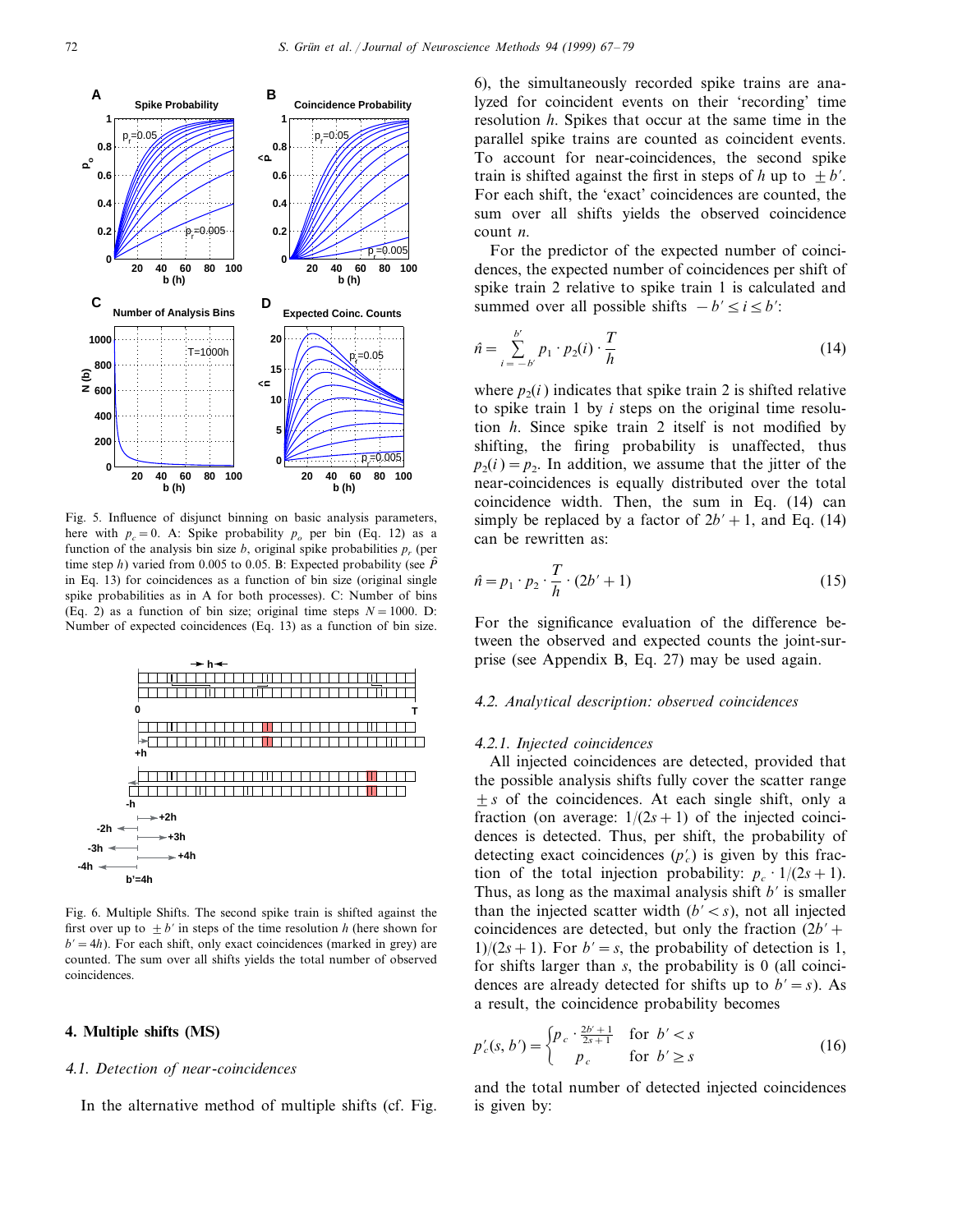

Fig. 5. Influence of disjunct binning on basic analysis parameters, here with  $p_c=0$ . A: Spike probability  $p_o$  per bin (Eq. 12) as a function of the analysis bin size  $b$ , original spike probabilities  $p_r$  (per time step *h*) varied from 0.005 to 0.05. B: Expected probability (see *P*. in Eq. 13) for coincidences as a function of bin size (original single spike probabilities as in A for both processes). C: Number of bins (Eq. 2) as a function of bin size; original time steps  $N = 1000$ . D: Number of expected coincidences (Eq. 13) as a function of bin size.



Fig. 6. Multiple Shifts. The second spike train is shifted against the first over up to  $\pm b'$  in steps of the time resolution *h* (here shown for  $b' = 4h$ ). For each shift, only exact coincidences (marked in grey) are counted. The sum over all shifts yields the total number of observed coincidences.

### **4. Multiple shifts (MS)**

### <sup>4</sup>.1. *Detection of near*-*coincidences*

In the alternative method of multiple shifts (cf. Fig.

6), the simultaneously recorded spike trains are analyzed for coincident events on their 'recording' time resolution *h*. Spikes that occur at the same time in the parallel spike trains are counted as coincident events. To account for near-coincidences, the second spike train is shifted against the first in steps of *h* up to  $\pm b'$ . For each shift, the 'exact' coincidences are counted, the sum over all shifts yields the observed coincidence count *n*.

For the predictor of the expected number of coincidences, the expected number of coincidences per shift of spike train 2 relative to spike train 1 is calculated and summed over all possible shifts  $-b' \le i \le b'$ :

$$
\hat{n} = \sum_{i=-b'}^{b'} p_1 \cdot p_2(i) \cdot \frac{T}{h} \tag{14}
$$

where  $p_2(i)$  indicates that spike train 2 is shifted relative to spike train 1 by *i* steps on the original time resolution *h*. Since spike train 2 itself is not modified by shifting, the firing probability is unaffected, thus  $p_2(i) = p_2$ . In addition, we assume that the jitter of the near-coincidences is equally distributed over the total coincidence width. Then, the sum in Eq. (14) can simply be replaced by a factor of  $2b' + 1$ , and Eq. (14) can be rewritten as:

$$
\hat{n} = p_1 \cdot p_2 \cdot \frac{T}{h} \cdot (2b' + 1) \tag{15}
$$

For the significance evaluation of the difference between the observed and expected counts the joint-surprise (see Appendix B, Eq. 27) may be used again.

### 4.2. Analytical description: observed coincidences

### <sup>4</sup>.2.1. *Injected coincidences*

All injected coincidences are detected, provided that the possible analysis shifts fully cover the scatter range  $\pm s$  of the coincidences. At each single shift, only a fraction (on average:  $1/(2s+1)$  of the injected coincidences is detected. Thus, per shift, the probability of detecting exact coincidences  $(p'_c)$  is given by this fraction of the total injection probability:  $p_c \cdot 1/(2s+1)$ . Thus, as long as the maximal analysis shift *b'* is smaller than the injected scatter width  $(b' < s)$ , not all injected coincidences are detected, but only the fraction  $(2b' +$  $1)/(2s+1)$ . For  $b' = s$ , the probability of detection is 1, for shifts larger than *s*, the probability is 0 (all coincidences are already detected for shifts up to  $b' = s$ ). As a result, the coincidence probability becomes

$$
p'_{c}(s,b') = \begin{cases} p_c \cdot \frac{2b'+1}{2s+1} & \text{for } b' < s \\ p_c & \text{for } b' \ge s \end{cases} \tag{16}
$$

and the total number of detected injected coincidences is given by: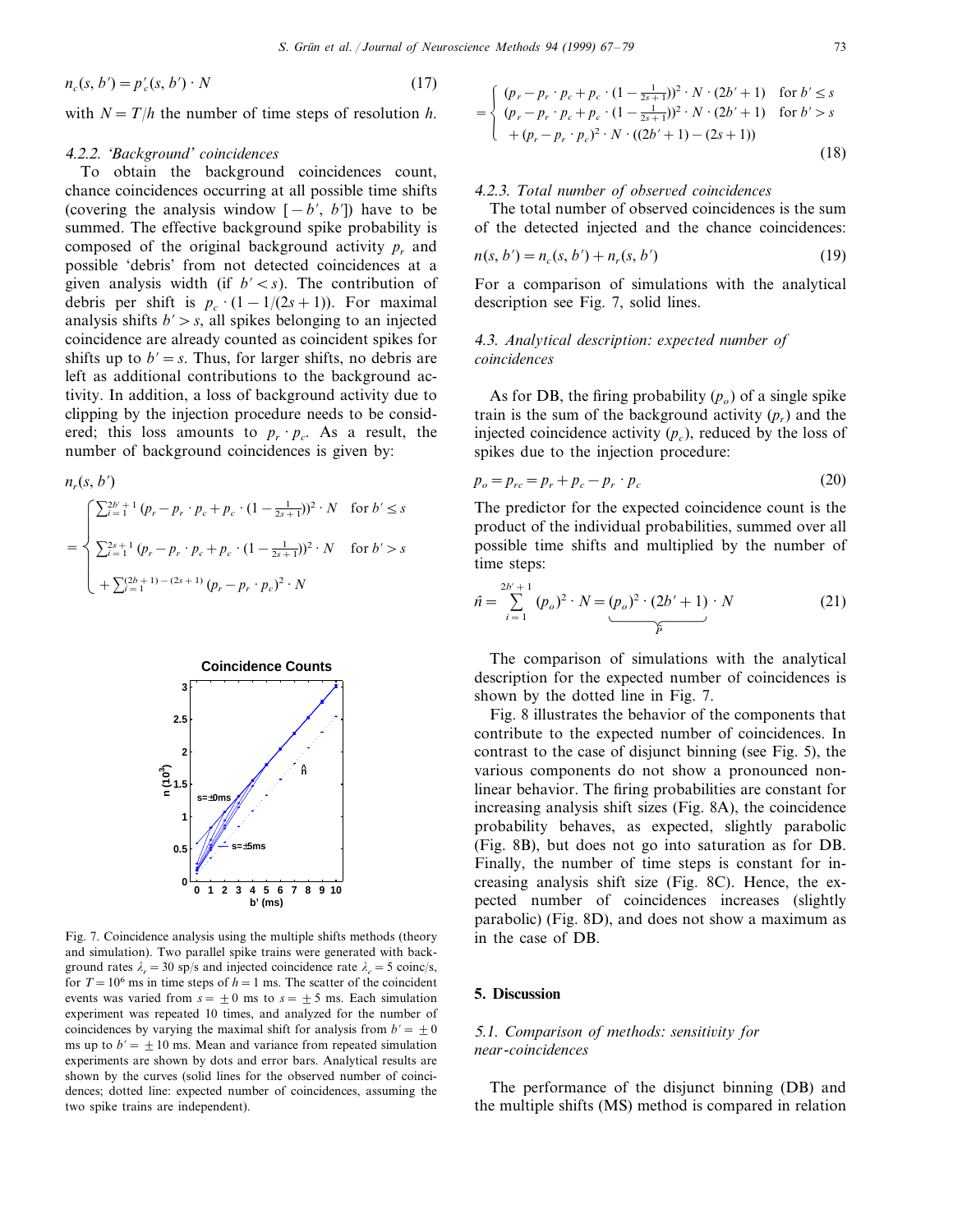$$
n_c(s, b') = p'_c(s, b') \cdot N \tag{17}
$$

with  $N = T/h$  the number of time steps of resolution *h*.

### <sup>4</sup>.2.2. '*Background*' *coincidences*

To obtain the background coincidences count, chance coincidences occurring at all possible time shifts (covering the analysis window  $[-b', b']$ ) have to be summed. The effective background spike probability is composed of the original background activity  $p<sub>r</sub>$  and possible 'debris' from not detected coincidences at a given analysis width (if  $b' < s$ ). The contribution of debris per shift is  $p_c \cdot (1 - 1/(2s+1))$ . For maximal analysis shifts  $b' > s$ , all spikes belonging to an injected coincidence are already counted as coincident spikes for shifts up to  $b' = s$ . Thus, for larger shifts, no debris are left as additional contributions to the background activity. In addition, a loss of background activity due to clipping by the injection procedure needs to be considered; this loss amounts to  $p_r \cdot p_c$ . As a result, the number of background coincidences is given by:

$$
n_r(s, b')
$$
  
= 
$$
\begin{cases} \sum_{i=1}^{2b'} \left\{ 1 - (p_r - p_r \cdot p_c + p_c \cdot (1 - \frac{1}{2s+1}))^2 \cdot N & \text{for } b' \le s \right\} \\ \sum_{i=1}^{2s+1} (p_r - p_r \cdot p_c + p_c \cdot (1 - \frac{1}{2s+1}))^2 \cdot N & \text{for } b' > s \\ + \sum_{i=1}^{(2b+1)-(2s+1)} (p_r - p_r \cdot p_c)^2 \cdot N \end{cases}
$$



Fig. 7. Coincidence analysis using the multiple shifts methods (theory and simulation). Two parallel spike trains were generated with background rates  $\lambda_r = 30$  sp/s and injected coincidence rate  $\lambda_c = 5$  coinc/s, for  $T = 10^6$  ms in time steps of  $h = 1$  ms. The scatter of the coincident events was varied from  $s = \pm 0$  ms to  $s = \pm 5$  ms. Each simulation experiment was repeated 10 times, and analyzed for the number of coincidences by varying the maximal shift for analysis from  $b' = \pm 0$ ms up to  $b' = \pm 10$  ms. Mean and variance from repeated simulation experiments are shown by dots and error bars. Analytical results are shown by the curves (solid lines for the observed number of coincidences; dotted line: expected number of coincidences, assuming the two spike trains are independent).

$$
= \begin{cases} (p_r - p_r \cdot p_c + p_c \cdot (1 - \frac{1}{2s+1}))^2 \cdot N \cdot (2b' + 1) & \text{for } b' \le s \\ (p_r - p_r \cdot p_c + p_c \cdot (1 - \frac{1}{2s+1}))^2 \cdot N \cdot (2b' + 1) & \text{for } b' > s \\ (p_r - p_r \cdot p_c)^2 \cdot N \cdot ((2b' + 1) - (2s + 1)) \end{cases}
$$
(18)

### 4.2.3. Total number of observed coincidences

The total number of observed coincidences is the sum of the detected injected and the chance coincidences:

$$
n(s, b') = n_c(s, b') + n_r(s, b')
$$
 (19)

For a comparison of simulations with the analytical description see Fig. 7, solid lines.

# <sup>4</sup>.3. *Analytical description*: *expected number of coincidences*

As for DB, the firing probability  $(p<sub>o</sub>)$  of a single spike train is the sum of the background activity  $(p<sub>r</sub>)$  and the injected coincidence activity  $(p<sub>c</sub>)$ , reduced by the loss of spikes due to the injection procedure:

$$
p_o = p_{rc} = p_r + p_c - p_r \cdot p_c \tag{20}
$$

The predictor for the expected coincidence count is the product of the individual probabilities, summed over all possible time shifts and multiplied by the number of time steps:

$$
\hat{n} = \sum_{i=1}^{2b'+1} (p_o)^2 \cdot N = (p_o)^2 \cdot (2b'+1) \cdot N \tag{21}
$$

The comparison of simulations with the analytical description for the expected number of coincidences is shown by the dotted line in Fig. 7.

Fig. 8 illustrates the behavior of the components that contribute to the expected number of coincidences. In contrast to the case of disjunct binning (see Fig. 5), the various components do not show a pronounced nonlinear behavior. The firing probabilities are constant for increasing analysis shift sizes (Fig. 8A), the coincidence probability behaves, as expected, slightly parabolic (Fig. 8B), but does not go into saturation as for DB. Finally, the number of time steps is constant for increasing analysis shift size (Fig. 8C). Hence, the expected number of coincidences increases (slightly parabolic) (Fig. 8D), and does not show a maximum as in the case of DB.

### **5. Discussion**

### 5.1. Comparison of methods: sensitivity for *near*-*coincidences*

The performance of the disjunct binning (DB) and the multiple shifts (MS) method is compared in relation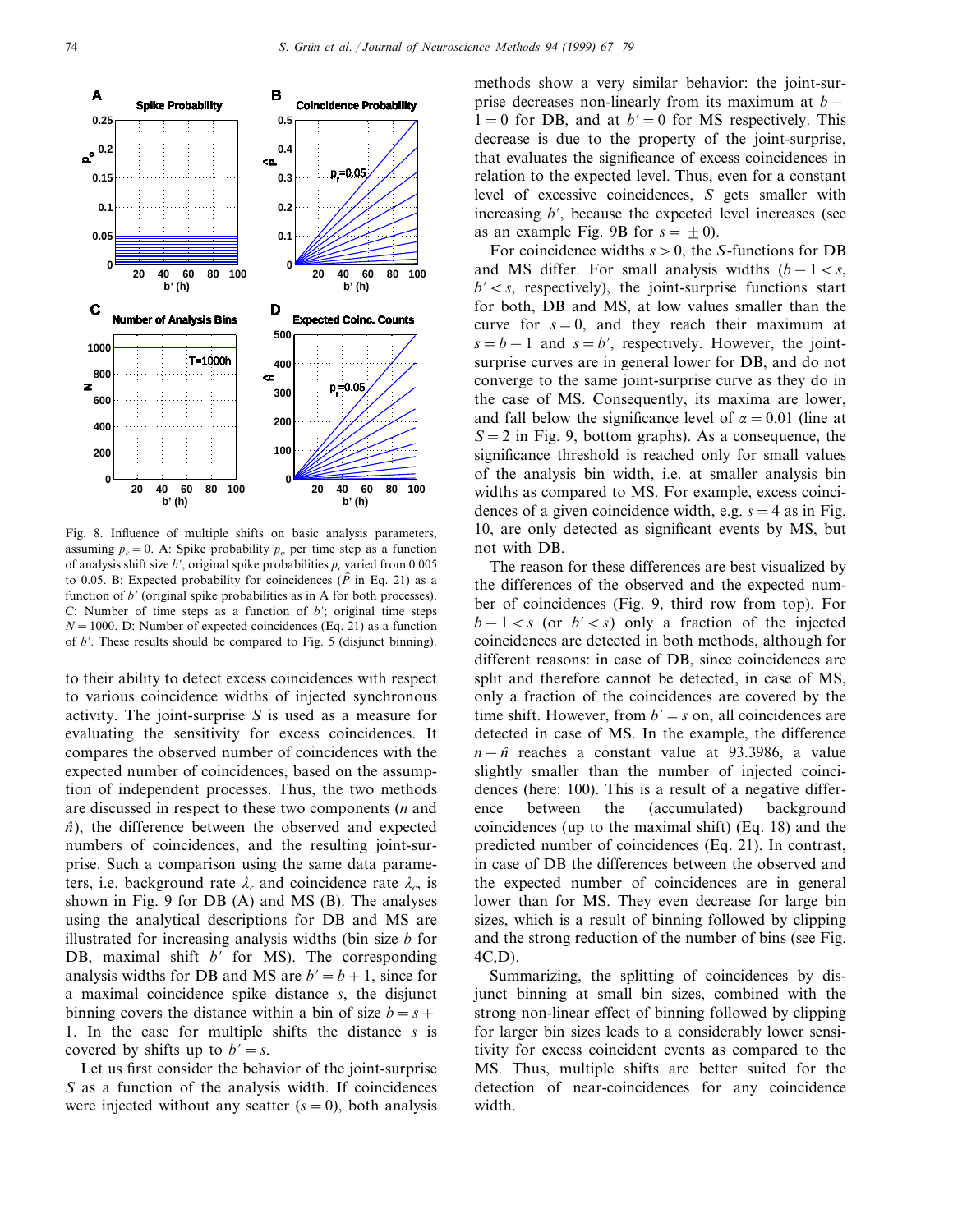

Fig. 8. Influence of multiple shifts on basic analysis parameters, assuming  $p_c = 0$ . A: Spike probability  $p_o$  per time step as a function of analysis shift size  $b'$ , original spike probabilities  $p_r$  varied from 0.005 to 0.05. B: Expected probability for coincidences  $(P \text{ in Eq. 21})$  as a function of  $b'$  (original spike probabilities as in A for both processes). C: Number of time steps as a function of  $b'$ ; original time steps  $N = 1000$ . D: Number of expected coincidences (Eq. 21) as a function of  $b'$ . These results should be compared to Fig. 5 (disjunct binning).

to their ability to detect excess coincidences with respect to various coincidence widths of injected synchronous activity. The joint-surprise *S* is used as a measure for evaluating the sensitivity for excess coincidences. It compares the observed number of coincidences with the expected number of coincidences, based on the assumption of independent processes. Thus, the two methods are discussed in respect to these two components (*n* and  $n<sup>2</sup>$ ), the difference between the observed and expected numbers of coincidences, and the resulting joint-surprise. Such a comparison using the same data parameters, i.e. background rate  $\lambda_r$  and coincidence rate  $\lambda_c$ , is shown in Fig. 9 for DB (A) and MS (B). The analyses using the analytical descriptions for DB and MS are illustrated for increasing analysis widths (bin size *b* for DB, maximal shift *b'* for MS). The corresponding analysis widths for DB and MS are  $b' = b + 1$ , since for a maximal coincidence spike distance *s*, the disjunct binning covers the distance within a bin of size  $b = s +$ 1. In the case for multiple shifts the distance *s* is covered by shifts up to  $b' = s$ .

Let us first consider the behavior of the joint-surprise *S* as a function of the analysis width. If coincidences were injected without any scatter  $(s = 0)$ , both analysis methods show a very similar behavior: the joint-surprise decreases non-linearly from its maximum at *b*−  $1=0$  for DB, and at  $b' = 0$  for MS respectively. This decrease is due to the property of the joint-surprise, that evaluates the significance of excess coincidences in relation to the expected level. Thus, even for a constant level of excessive coincidences, *S* gets smaller with increasing  $b'$ , because the expected level increases (see as an example Fig. 9B for  $s = \pm 0$ ).

For coincidence widths  $s > 0$ , the *S*-functions for DB and MS differ. For small analysis widths  $(b-1 < s,$  $b' < s$ , respectively), the joint-surprise functions start for both, DB and MS, at low values smaller than the curve for  $s=0$ , and they reach their maximum at  $s = b - 1$  and  $s = b'$ , respectively. However, the jointsurprise curves are in general lower for DB, and do not converge to the same joint-surprise curve as they do in the case of MS. Consequently, its maxima are lower, and fall below the significance level of  $\alpha = 0.01$  (line at  $S = 2$  in Fig. 9, bottom graphs). As a consequence, the significance threshold is reached only for small values of the analysis bin width, i.e. at smaller analysis bin widths as compared to MS. For example, excess coincidences of a given coincidence width, e.g.  $s = 4$  as in Fig. 10, are only detected as significant events by MS, but not with DB.

The reason for these differences are best visualized by the differences of the observed and the expected number of coincidences (Fig. 9, third row from top). For  $b-1 < s$  (or  $b' < s$ ) only a fraction of the injected coincidences are detected in both methods, although for different reasons: in case of DB, since coincidences are split and therefore cannot be detected, in case of MS, only a fraction of the coincidences are covered by the time shift. However, from  $b' = s$  on, all coincidences are detected in case of MS. In the example, the difference *n*−*n*̂ reaches a constant value at 93.3986, a value slightly smaller than the number of injected coincidences (here: 100). This is a result of a negative difference between the (accumulated) background coincidences (up to the maximal shift) (Eq. 18) and the predicted number of coincidences (Eq. 21). In contrast, in case of DB the differences between the observed and the expected number of coincidences are in general lower than for MS. They even decrease for large bin sizes, which is a result of binning followed by clipping and the strong reduction of the number of bins (see Fig. 4C,D).

Summarizing, the splitting of coincidences by disjunct binning at small bin sizes, combined with the strong non-linear effect of binning followed by clipping for larger bin sizes leads to a considerably lower sensitivity for excess coincident events as compared to the MS. Thus, multiple shifts are better suited for the detection of near-coincidences for any coincidence width.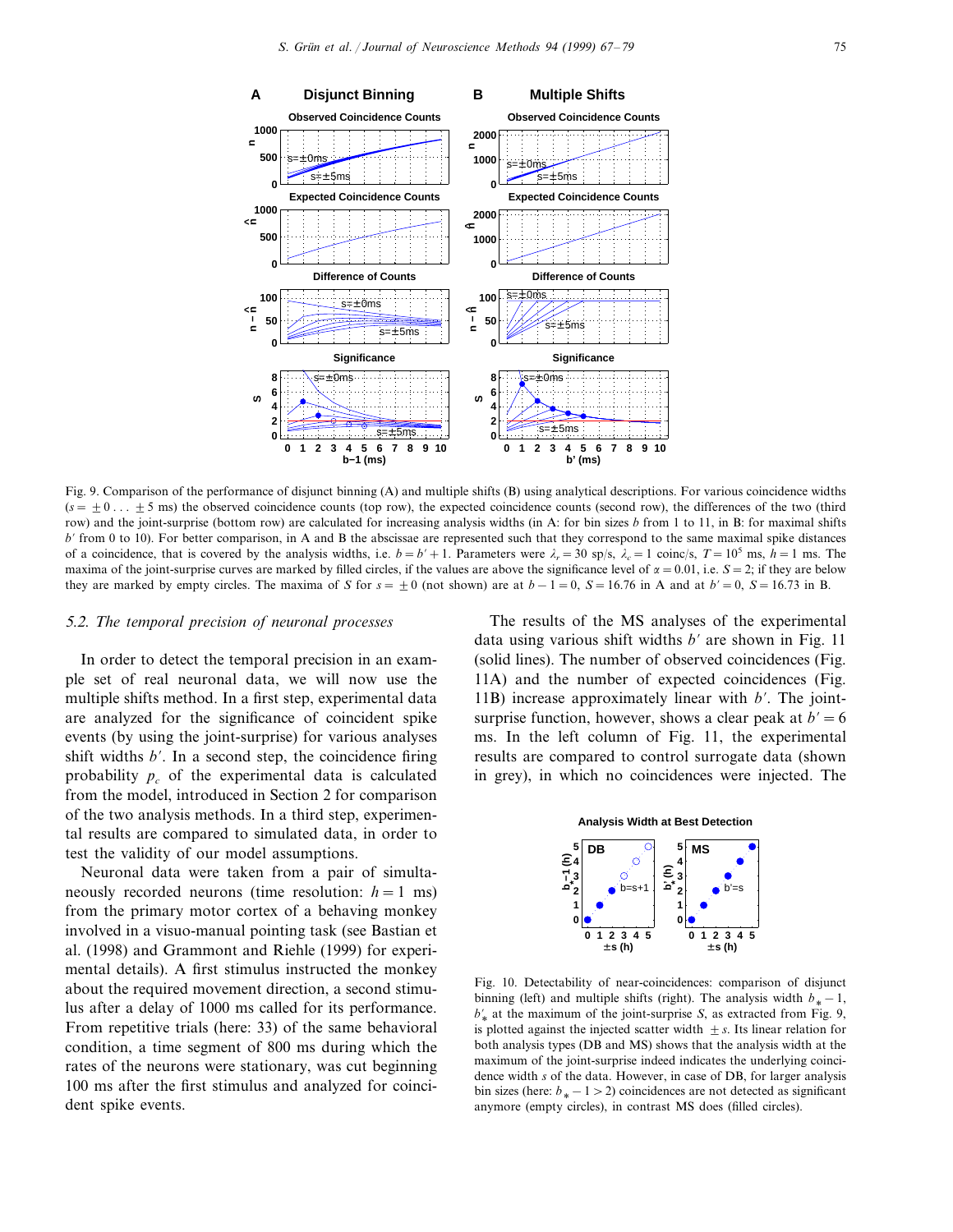

Fig. 9. Comparison of the performance of disjunct binning (A) and multiple shifts (B) using analytical descriptions. For various coincidence widths  $(s = \pm 0 \ldots \pm 5$  ms) the observed coincidence counts (top row), the expected coincidence counts (second row), the differences of the two (third row) and the joint-surprise (bottom row) are calculated for increasing analysis widths (in A: for bin sizes *b* from 1 to 11, in B: for maximal shifts  $b'$  from 0 to 10). For better comparison, in A and B the abscissae are represented such that they correspond to the same maximal spike distances of a coincidence, that is covered by the analysis widths, i.e.  $b = b' + 1$ . Parameters were  $\lambda_r = 30$  sp/s,  $\lambda_c = 1$  coinc/s,  $T = 10^5$  ms,  $h = 1$  ms. The maxima of the joint-surprise curves are marked by filled circles, if the values are above the significance level of  $\alpha = 0.01$ , i.e.  $S = 2$ ; if they are below they are marked by empty circles. The maxima of *S* for  $s = \pm 0$  (not shown) are at  $b - 1 = 0$ ,  $S = 16.76$  in A and at  $b' = 0$ ,  $S = 16.73$  in B.

#### <sup>5</sup>.2. *The temporal precision of neuronal processes*

In order to detect the temporal precision in an example set of real neuronal data, we will now use the multiple shifts method. In a first step, experimental data are analyzed for the significance of coincident spike events (by using the joint-surprise) for various analyses shift widths  $b'$ . In a second step, the coincidence firing probability  $p_c$  of the experimental data is calculated from the model, introduced in Section 2 for comparison of the two analysis methods. In a third step, experimental results are compared to simulated data, in order to test the validity of our model assumptions.

Neuronal data were taken from a pair of simultaneously recorded neurons (time resolution:  $h = 1$  ms) from the primary motor cortex of a behaving monkey involved in a visuo-manual pointing task (see Bastian et al. (1998) and Grammont and Riehle (1999) for experimental details). A first stimulus instructed the monkey about the required movement direction, a second stimulus after a delay of 1000 ms called for its performance. From repetitive trials (here: 33) of the same behavioral condition, a time segment of 800 ms during which the rates of the neurons were stationary, was cut beginning 100 ms after the first stimulus and analyzed for coincident spike events.

The results of the MS analyses of the experimental data using various shift widths  $b'$  are shown in Fig. 11 (solid lines). The number of observed coincidences (Fig. 11A) and the number of expected coincidences (Fig. 11B) increase approximately linear with  $b'$ . The jointsurprise function, however, shows a clear peak at  $b' = 6$ ms. In the left column of Fig. 11, the experimental results are compared to control surrogate data (shown in grey), in which no coincidences were injected. The



Fig. 10. Detectability of near-coincidences: comparison of disjunct binning (left) and multiple shifts (right). The analysis width  $b_* - 1$ ,  $b'_{*}$  at the maximum of the joint-surprise *S*, as extracted from Fig. 9, is plotted against the injected scatter width  $\pm s$ . Its linear relation for both analysis types (DB and MS) shows that the analysis width at the maximum of the joint-surprise indeed indicates the underlying coincidence width *s* of the data. However, in case of DB, for larger analysis bin sizes (here:  $b<sub>*</sub> - 1 > 2$ ) coincidences are not detected as significant anymore (empty circles), in contrast MS does (filled circles).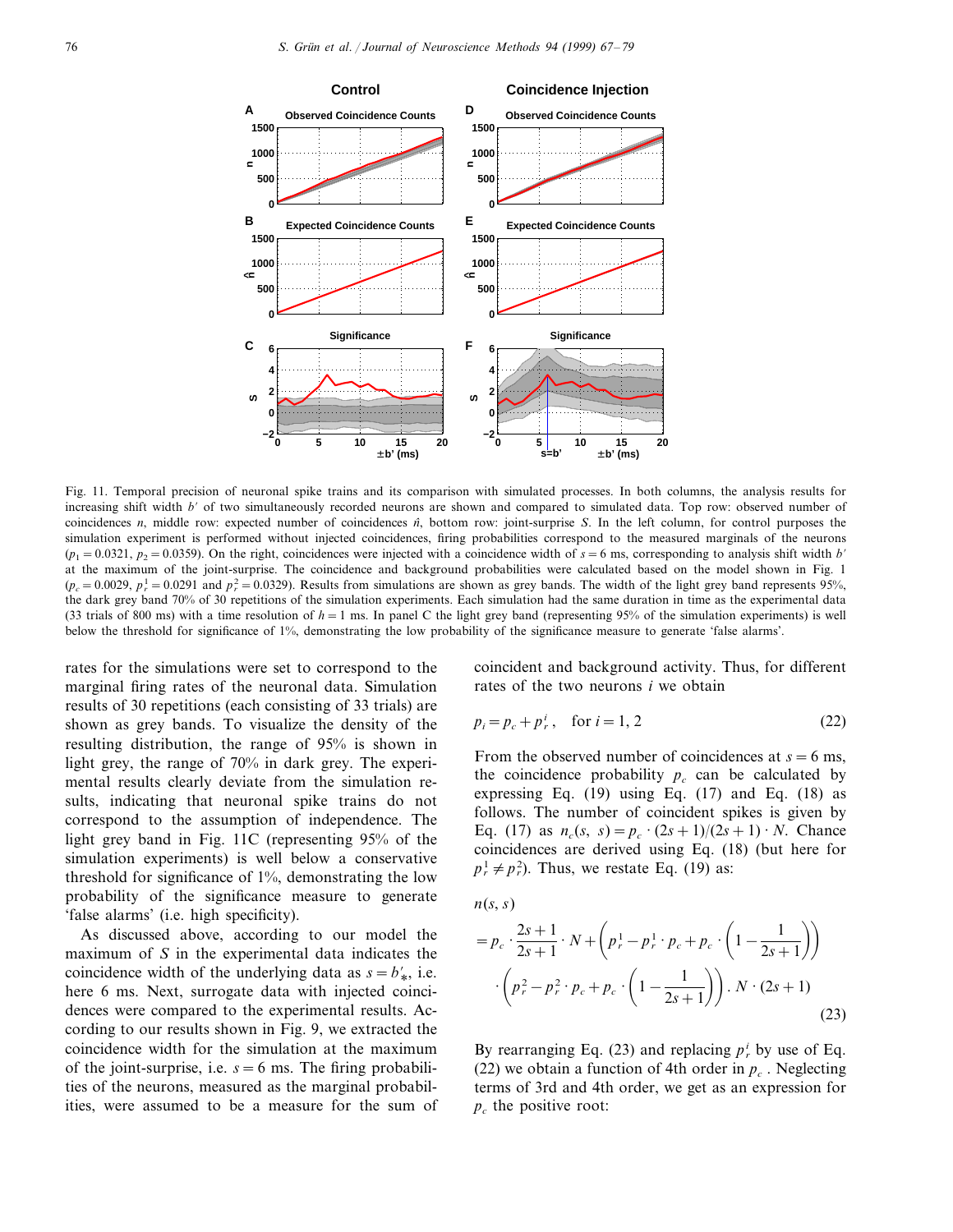

Fig. 11. Temporal precision of neuronal spike trains and its comparison with simulated processes. In both columns, the analysis results for increasing shift width *b'* of two simultaneously recorded neurons are shown and compared to simulated data. Top row: observed number of coincidences *n*, middle row: expected number of coincidences *nˆ*, bottom row: joint-surprise *S*. In the left column, for control purposes the simulation experiment is performed without injected coincidences, firing probabilities correspond to the measured marginals of the neurons  $(p_1 = 0.0321, p_2 = 0.0359)$ . On the right, coincidences were injected with a coincidence width of  $s = 6$  ms, corresponding to analysis shift width *b* at the maximum of the joint-surprise. The coincidence and background probabilities were calculated based on the model shown in Fig. 1  $(p_c = 0.0029, p_r^1 = 0.0291$  and  $p_r^2 = 0.0329$ ). Results from simulations are shown as grey bands. The width of the light grey band represents 95%, the dark grey band 70% of 30 repetitions of the simulation experiments. Each simulation had the same duration in time as the experimental data (33 trials of 800 ms) with a time resolution of  $h=1$  ms. In panel C the light grey band (representing 95% of the simulation experiments) is well below the threshold for significance of 1%, demonstrating the low probability of the significance measure to generate 'false alarms'.

rates for the simulations were set to correspond to the marginal firing rates of the neuronal data. Simulation results of 30 repetitions (each consisting of 33 trials) are shown as grey bands. To visualize the density of the resulting distribution, the range of 95% is shown in light grey, the range of 70% in dark grey. The experimental results clearly deviate from the simulation results, indicating that neuronal spike trains do not correspond to the assumption of independence. The light grey band in Fig. 11C (representing 95% of the simulation experiments) is well below a conservative threshold for significance of 1%, demonstrating the low probability of the significance measure to generate 'false alarms' (i.e. high specificity).

As discussed above, according to our model the maximum of *S* in the experimental data indicates the coincidence width of the underlying data as  $s = b'_{*}$ , i.e. here 6 ms. Next, surrogate data with injected coincidences were compared to the experimental results. According to our results shown in Fig. 9, we extracted the coincidence width for the simulation at the maximum of the joint-surprise, i.e.  $s = 6$  ms. The firing probabilities of the neurons, measured as the marginal probabilities, were assumed to be a measure for the sum of coincident and background activity. Thus, for different rates of the two neurons *i* we obtain

$$
p_i = p_c + p'_r, \quad \text{for } i = 1, 2 \tag{22}
$$

From the observed number of coincidences at  $s = 6$  ms, the coincidence probability  $p_c$  can be calculated by expressing Eq.  $(19)$  using Eq.  $(17)$  and Eq.  $(18)$  as follows. The number of coincident spikes is given by Eq. (17) as  $n_c(s, s) = p_c \cdot (2s+1)/(2s+1) \cdot N$ . Chance coincidences are derived using Eq. (18) (but here for  $p_r^1 \neq p_r^2$ ). Thus, we restate Eq. (19) as:

$$
n(s, s)
$$
  
=  $p_c \cdot \frac{2s+1}{2s+1} \cdot N + \left(p_r^1 - p_r^1 \cdot p_c + p_c \cdot \left(1 - \frac{1}{2s+1}\right)\right)$   

$$
\cdot \left(p_r^2 - p_r^2 \cdot p_c + p_c \cdot \left(1 - \frac{1}{2s+1}\right)\right) \cdot N \cdot (2s+1)
$$
 (23)

By rearranging Eq. (23) and replacing  $p_i^i$  by use of Eq. (22) we obtain a function of 4th order in  $p_c$ . Neglecting terms of 3rd and 4th order, we get as an expression for  $p_c$  the positive root: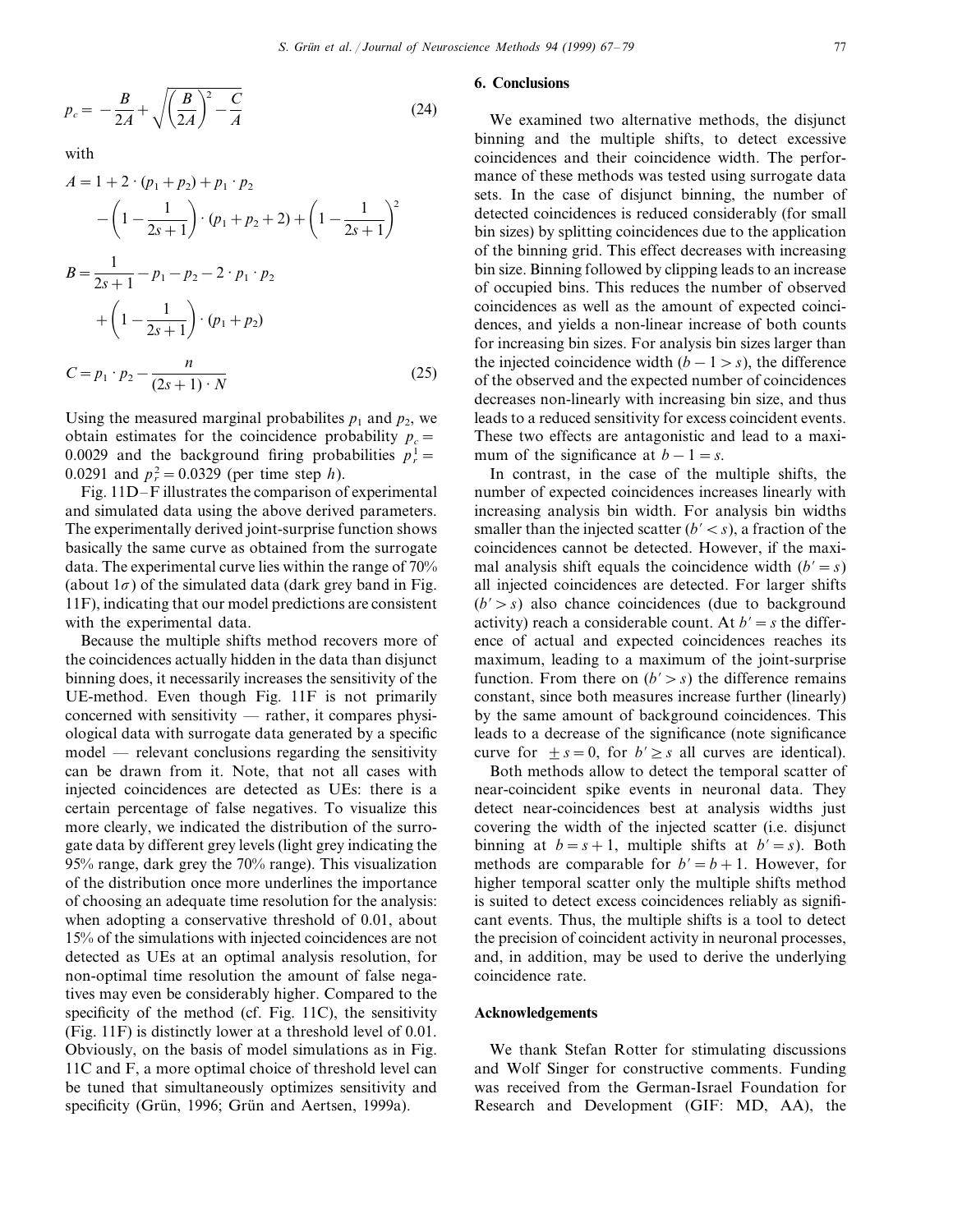$$
p_c = -\frac{B}{2A} + \sqrt{\left(\frac{B}{2A}\right)^2 - \frac{C}{A}}
$$
 (24)

with

$$
A = 1 + 2 \cdot (p_1 + p_2) + p_1 \cdot p_2
$$
  
 
$$
- \left(1 - \frac{1}{2s + 1}\right) \cdot (p_1 + p_2 + 2) + \left(1 - \frac{1}{2s + 1}\right)^2
$$
  
\n
$$
B = \frac{1}{2s + 1} - p_1 - p_2 - 2 \cdot p_1 \cdot p_2
$$
  
\n
$$
+ \left(1 - \frac{1}{2s + 1}\right) \cdot (p_1 + p_2)
$$
  
\n
$$
C = p_1 \cdot p_2 - \frac{n}{(2s + 1) \cdot N}
$$
 (25)

Using the measured marginal probabilites  $p_1$  and  $p_2$ , we obtain estimates for the coincidence probability  $p_c =$ 0.0029 and the background firing probabilities  $p_r^1 =$ 0.0291 and  $p_r^2 = 0.0329$  (per time step *h*).

Fig. 11D–F illustrates the comparison of experimental and simulated data using the above derived parameters. The experimentally derived joint-surprise function shows basically the same curve as obtained from the surrogate data. The experimental curve lies within the range of 70% (about  $1\sigma$ ) of the simulated data (dark grey band in Fig. 11F), indicating that our model predictions are consistent with the experimental data.

Because the multiple shifts method recovers more of the coincidences actually hidden in the data than disjunct binning does, it necessarily increases the sensitivity of the UE-method. Even though Fig. 11F is not primarily concerned with sensitivity — rather, it compares physiological data with surrogate data generated by a specific model — relevant conclusions regarding the sensitivity can be drawn from it. Note, that not all cases with injected coincidences are detected as UEs: there is a certain percentage of false negatives. To visualize this more clearly, we indicated the distribution of the surrogate data by different grey levels (light grey indicating the 95% range, dark grey the 70% range). This visualization of the distribution once more underlines the importance of choosing an adequate time resolution for the analysis: when adopting a conservative threshold of 0.01, about 15% of the simulations with injected coincidences are not detected as UEs at an optimal analysis resolution, for non-optimal time resolution the amount of false negatives may even be considerably higher. Compared to the specificity of the method (cf. Fig. 11C), the sensitivity (Fig. 11F) is distinctly lower at a threshold level of 0.01. Obviously, on the basis of model simulations as in Fig. 11C and F, a more optimal choice of threshold level can be tuned that simultaneously optimizes sensitivity and specificity (Grün, 1996; Grün and Aertsen, 1999a).

# **6. Conclusions**

We examined two alternative methods, the disjunct binning and the multiple shifts, to detect excessive coincidences and their coincidence width. The performance of these methods was tested using surrogate data sets. In the case of disjunct binning, the number of detected coincidences is reduced considerably (for small bin sizes) by splitting coincidences due to the application of the binning grid. This effect decreases with increasing bin size. Binning followed by clipping leads to an increase of occupied bins. This reduces the number of observed coincidences as well as the amount of expected coincidences, and yields a non-linear increase of both counts for increasing bin sizes. For analysis bin sizes larger than the injected coincidence width  $(b-1>s)$ , the difference of the observed and the expected number of coincidences decreases non-linearly with increasing bin size, and thus leads to a reduced sensitivity for excess coincident events. These two effects are antagonistic and lead to a maximum of the significance at  $b-1=s$ .

In contrast, in the case of the multiple shifts, the number of expected coincidences increases linearly with increasing analysis bin width. For analysis bin widths smaller than the injected scatter  $(b' < s)$ , a fraction of the coincidences cannot be detected. However, if the maximal analysis shift equals the coincidence width  $(b' = s)$ all injected coincidences are detected. For larger shifts  $(b' > s)$  also chance coincidences (due to background activity) reach a considerable count. At  $b' = s$  the difference of actual and expected coincidences reaches its maximum, leading to a maximum of the joint-surprise function. From there on  $(b' > s)$  the difference remains constant, since both measures increase further (linearly) by the same amount of background coincidences. This leads to a decrease of the significance (note significance curve for  $+s=0$ , for  $b' \geq s$  all curves are identical).

Both methods allow to detect the temporal scatter of near-coincident spike events in neuronal data. They detect near-coincidences best at analysis widths just covering the width of the injected scatter (i.e. disjunct binning at  $b = s + 1$ , multiple shifts at  $b' = s$ ). Both methods are comparable for  $b' = b + 1$ . However, for higher temporal scatter only the multiple shifts method is suited to detect excess coincidences reliably as significant events. Thus, the multiple shifts is a tool to detect the precision of coincident activity in neuronal processes, and, in addition, may be used to derive the underlying coincidence rate.

#### **Acknowledgements**

We thank Stefan Rotter for stimulating discussions and Wolf Singer for constructive comments. Funding was received from the German-Israel Foundation for Research and Development (GIF: MD, AA), the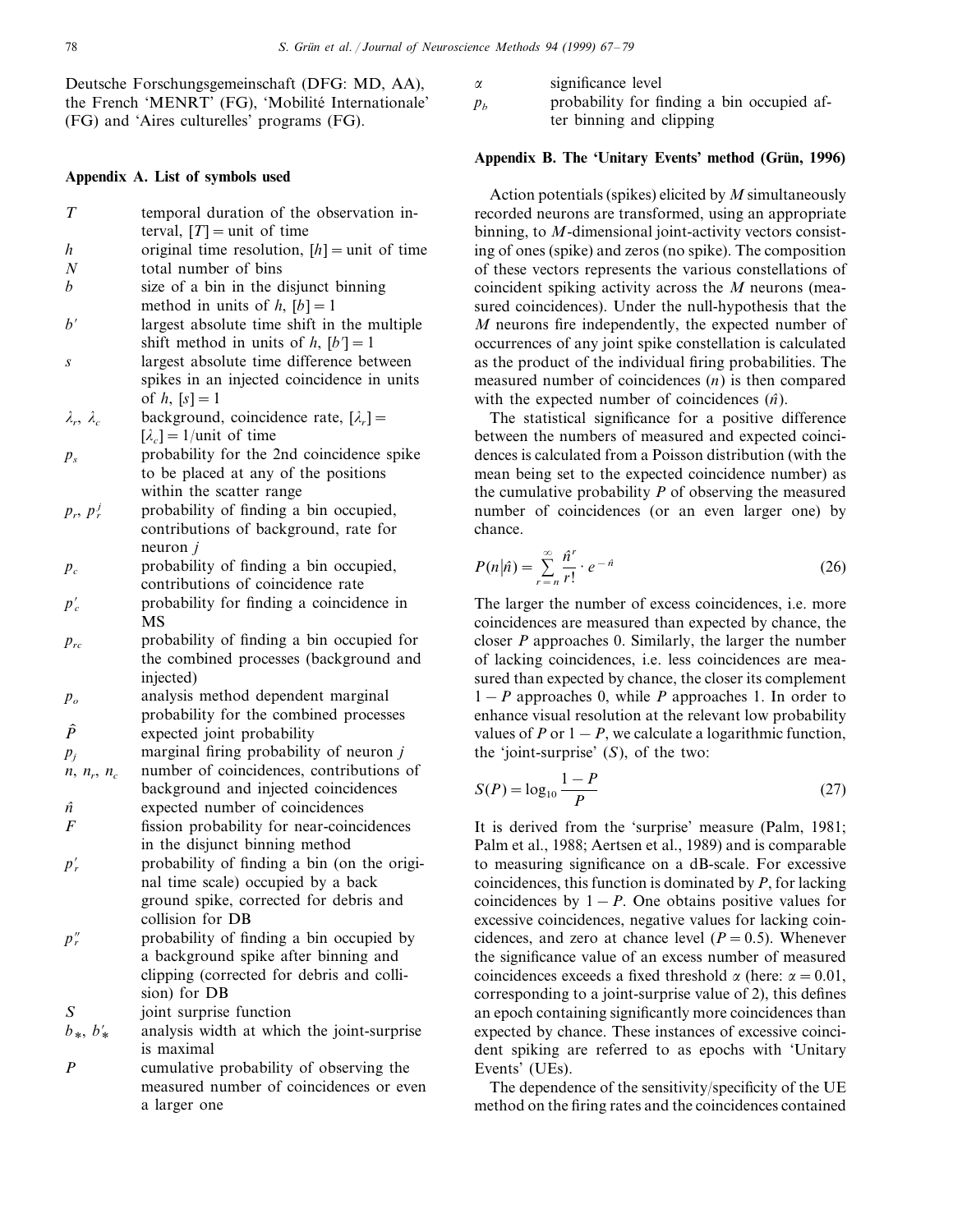Deutsche Forschungsgemeinschaft (DFG: MD, AA), the French 'MENRT' (FG), 'Mobilité Internationale' (FG) and 'Aires culturelles' programs (FG).

# **Appendix A. List of symbols used**

| $\scriptstyle T$          | temporal duration of the observation in-                                           |
|---------------------------|------------------------------------------------------------------------------------|
|                           | terval, $[T]$ = unit of time                                                       |
| h                         | original time resolution, $[h]$ = unit of time                                     |
| N                         | total number of bins                                                               |
| b                         | size of a bin in the disjunct binning                                              |
| $b^{\prime}$              | method in units of h, $[b] = 1$                                                    |
|                           | largest absolute time shift in the multiple                                        |
|                           | shift method in units of h, $[b'] = 1$<br>largest absolute time difference between |
| S                         | spikes in an injected coincidence in units                                         |
|                           | of h, $[s] = 1$                                                                    |
| $\lambda_r$ , $\lambda_c$ | background, coincidence rate, $[\lambda_r] =$                                      |
|                           | $[\lambda_c] = 1/\text{unit of time}$                                              |
| $p_s$                     | probability for the 2nd coincidence spike                                          |
|                           | to be placed at any of the positions                                               |
|                           | within the scatter range                                                           |
| $p_r$ , $p_r^j$           | probability of finding a bin occupied,                                             |
|                           | contributions of background, rate for                                              |
|                           | neuron $j$                                                                         |
| $p_c$                     | probability of finding a bin occupied,                                             |
|                           | contributions of coincidence rate                                                  |
| $p'_c$                    | probability for finding a coincidence in                                           |
|                           | MS                                                                                 |
| $p_{rc}$                  | probability of finding a bin occupied for                                          |
|                           | the combined processes (background and                                             |
|                           | injected)                                                                          |
| $p_o$                     | analysis method dependent marginal                                                 |
| $\hat{P}$                 | probability for the combined processes                                             |
|                           | expected joint probability<br>marginal firing probability of neuron $j$            |
| $p_j$<br>$n, n_r, n_c$    | number of coincidences, contributions of                                           |
|                           | background and injected coincidences                                               |
| ñ                         | expected number of coincidences                                                    |
| F                         | fission probability for near-coincidences                                          |
|                           | in the disjunct binning method                                                     |
| $p'_r$                    | probability of finding a bin (on the origi-                                        |
|                           | nal time scale) occupied by a back                                                 |
|                           | ground spike, corrected for debris and                                             |
|                           | collision for DB                                                                   |
| $p''_r$                   | probability of finding a bin occupied by                                           |
|                           | a background spike after binning and                                               |
|                           | clipping (corrected for debris and colli-                                          |
|                           | sion) for DB                                                                       |
| S                         | joint surprise function                                                            |
| $b_*, b'_*$               | analysis width at which the joint-surprise                                         |
|                           | is maximal                                                                         |
| P                         | cumulative probability of observing the                                            |
|                           | measured number of coincidences or even                                            |
|                           | a larger one                                                                       |
|                           |                                                                                    |

| significance level<br>α |  |
|-------------------------|--|
|-------------------------|--|

 $p<sub>b</sub>$  probability for finding a bin occupied after binning and clipping

# Appendix B. The 'Unitary Events' method (Grün, 1996)

Action potentials (spikes) elicited by *M* simultaneously recorded neurons are transformed, using an appropriate binning, to *M*-dimensional joint-activity vectors consisting of ones (spike) and zeros (no spike). The composition of these vectors represents the various constellations of coincident spiking activity across the *M* neurons (measured coincidences). Under the null-hypothesis that the *M* neurons fire independently, the expected number of occurrences of any joint spike constellation is calculated as the product of the individual firing probabilities. The measured number of coincidences (*n*) is then compared with the expected number of coincidences  $(\hat{n})$ .

The statistical significance for a positive difference between the numbers of measured and expected coincidences is calculated from a Poisson distribution (with the mean being set to the expected coincidence number) as the cumulative probability *P* of observing the measured number of coincidences (or an even larger one) by chance.

$$
P(n|\hat{n}) = \sum_{r=n}^{\infty} \frac{\hat{n}^r}{r!} \cdot e^{-\hat{n}}
$$
 (26)

The larger the number of excess coincidences, i.e. more coincidences are measured than expected by chance, the closer *P* approaches 0. Similarly, the larger the number of lacking coincidences, i.e. less coincidences are measured than expected by chance, the closer its complement 1−*P* approaches 0, while *P* approaches 1. In order to enhance visual resolution at the relevant low probability values of *P* or  $1 - P$ , we calculate a logarithmic function, the 'joint-surprise' (*S*), of the two:

$$
S(P) = \log_{10} \frac{1 - P}{P}
$$
 (27)

It is derived from the 'surprise' measure (Palm, 1981; Palm et al., 1988; Aertsen et al., 1989) and is comparable to measuring significance on a dB-scale. For excessive coincidences, this function is dominated by *P*, for lacking coincidences by  $1 - P$ . One obtains positive values for excessive coincidences, negative values for lacking coincidences, and zero at chance level  $(P = 0.5)$ . Whenever the significance value of an excess number of measured coincidences exceeds a fixed threshold  $\alpha$  (here:  $\alpha = 0.01$ , corresponding to a joint-surprise value of 2), this defines an epoch containing significantly more coincidences than expected by chance. These instances of excessive coincident spiking are referred to as epochs with 'Unitary Events' (UEs).

The dependence of the sensitivity/specificity of the UE method on the firing rates and the coincidences contained